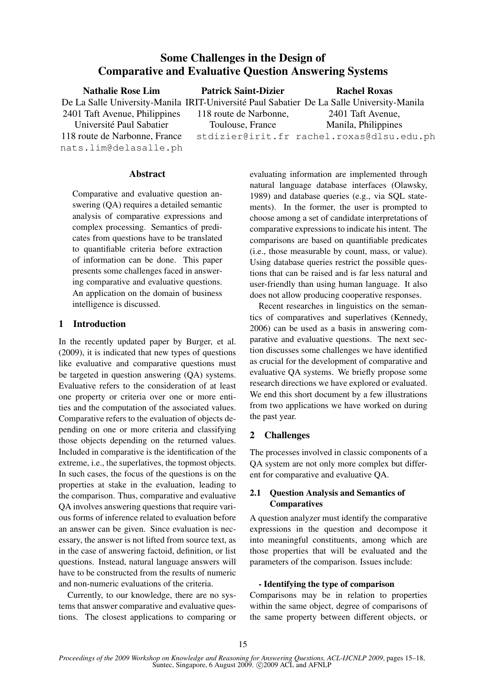# Some Challenges in the Design of Comparative and Evaluative Question Answering Systems

| <b>Nathalie Rose Lim</b>                               | <b>Patrick Saint-Dizier</b> | <b>Rachel Roxas</b>                                                                       |
|--------------------------------------------------------|-----------------------------|-------------------------------------------------------------------------------------------|
|                                                        |                             | De La Salle University-Manila IRIT-Université Paul Sabatier De La Salle University-Manila |
| 2401 Taft Avenue, Philippines                          | 118 route de Narbonne,      | 2401 Taft Avenue,                                                                         |
| Université Paul Sabatier                               | Toulouse, France            | Manila, Philippines                                                                       |
| 118 route de Narbonne, France<br>nats.lim@delasalle.ph |                             | stdizier@irit.fr rachel.roxas@dlsu.edu.ph                                                 |

#### Abstract

Comparative and evaluative question answering (QA) requires a detailed semantic analysis of comparative expressions and complex processing. Semantics of predicates from questions have to be translated to quantifiable criteria before extraction of information can be done. This paper presents some challenges faced in answering comparative and evaluative questions. An application on the domain of business intelligence is discussed.

### 1 Introduction

In the recently updated paper by Burger, et al. (2009), it is indicated that new types of questions like evaluative and comparative questions must be targeted in question answering (QA) systems. Evaluative refers to the consideration of at least one property or criteria over one or more entities and the computation of the associated values. Comparative refers to the evaluation of objects depending on one or more criteria and classifying those objects depending on the returned values. Included in comparative is the identification of the extreme, i.e., the superlatives, the topmost objects. In such cases, the focus of the questions is on the properties at stake in the evaluation, leading to the comparison. Thus, comparative and evaluative QA involves answering questions that require various forms of inference related to evaluation before an answer can be given. Since evaluation is necessary, the answer is not lifted from source text, as in the case of answering factoid, definition, or list questions. Instead, natural language answers will have to be constructed from the results of numeric and non-numeric evaluations of the criteria.

Currently, to our knowledge, there are no systems that answer comparative and evaluative questions. The closest applications to comparing or evaluating information are implemented through natural language database interfaces (Olawsky, 1989) and database queries (e.g., via SQL statements). In the former, the user is prompted to choose among a set of candidate interpretations of comparative expressions to indicate his intent. The comparisons are based on quantifiable predicates (i.e., those measurable by count, mass, or value). Using database queries restrict the possible questions that can be raised and is far less natural and user-friendly than using human language. It also does not allow producing cooperative responses.

Recent researches in linguistics on the semantics of comparatives and superlatives (Kennedy, 2006) can be used as a basis in answering comparative and evaluative questions. The next section discusses some challenges we have identified as crucial for the development of comparative and evaluative QA systems. We briefly propose some research directions we have explored or evaluated. We end this short document by a few illustrations from two applications we have worked on during the past year.

# 2 Challenges

The processes involved in classic components of a QA system are not only more complex but different for comparative and evaluative QA.

# 2.1 Question Analysis and Semantics of **Comparatives**

A question analyzer must identify the comparative expressions in the question and decompose it into meaningful constituents, among which are those properties that will be evaluated and the parameters of the comparison. Issues include:

#### - Identifying the type of comparison

Comparisons may be in relation to properties within the same object, degree of comparisons of the same property between different objects, or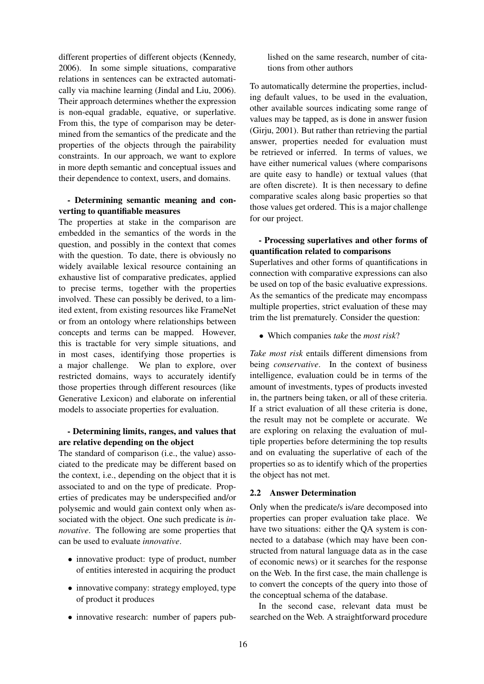different properties of different objects (Kennedy, 2006). In some simple situations, comparative relations in sentences can be extracted automatically via machine learning (Jindal and Liu, 2006). Their approach determines whether the expression is non-equal gradable, equative, or superlative. From this, the type of comparison may be determined from the semantics of the predicate and the properties of the objects through the pairability constraints. In our approach, we want to explore in more depth semantic and conceptual issues and their dependence to context, users, and domains.

# - Determining semantic meaning and converting to quantifiable measures

The properties at stake in the comparison are embedded in the semantics of the words in the question, and possibly in the context that comes with the question. To date, there is obviously no widely available lexical resource containing an exhaustive list of comparative predicates, applied to precise terms, together with the properties involved. These can possibly be derived, to a limited extent, from existing resources like FrameNet or from an ontology where relationships between concepts and terms can be mapped. However, this is tractable for very simple situations, and in most cases, identifying those properties is a major challenge. We plan to explore, over restricted domains, ways to accurately identify those properties through different resources (like Generative Lexicon) and elaborate on inferential models to associate properties for evaluation.

# - Determining limits, ranges, and values that are relative depending on the object

The standard of comparison (i.e., the value) associated to the predicate may be different based on the context, i.e., depending on the object that it is associated to and on the type of predicate. Properties of predicates may be underspecified and/or polysemic and would gain context only when associated with the object. One such predicate is *innovative*. The following are some properties that can be used to evaluate *innovative*.

- innovative product: type of product, number of entities interested in acquiring the product
- innovative company: strategy employed, type of product it produces
- innovative research: number of papers pub-

lished on the same research, number of citations from other authors

To automatically determine the properties, including default values, to be used in the evaluation, other available sources indicating some range of values may be tapped, as is done in answer fusion (Girju, 2001). But rather than retrieving the partial answer, properties needed for evaluation must be retrieved or inferred. In terms of values, we have either numerical values (where comparisons are quite easy to handle) or textual values (that are often discrete). It is then necessary to define comparative scales along basic properties so that those values get ordered. This is a major challenge for our project.

# - Processing superlatives and other forms of quantification related to comparisons

Superlatives and other forms of quantifications in connection with comparative expressions can also be used on top of the basic evaluative expressions. As the semantics of the predicate may encompass multiple properties, strict evaluation of these may trim the list prematurely. Consider the question:

• Which companies *take* the *most risk*?

*Take most risk* entails different dimensions from being *conservative*. In the context of business intelligence, evaluation could be in terms of the amount of investments, types of products invested in, the partners being taken, or all of these criteria. If a strict evaluation of all these criteria is done, the result may not be complete or accurate. We are exploring on relaxing the evaluation of multiple properties before determining the top results and on evaluating the superlative of each of the properties so as to identify which of the properties the object has not met.

# 2.2 Answer Determination

Only when the predicate/s is/are decomposed into properties can proper evaluation take place. We have two situations: either the QA system is connected to a database (which may have been constructed from natural language data as in the case of economic news) or it searches for the response on the Web. In the first case, the main challenge is to convert the concepts of the query into those of the conceptual schema of the database.

In the second case, relevant data must be searched on the Web. A straightforward procedure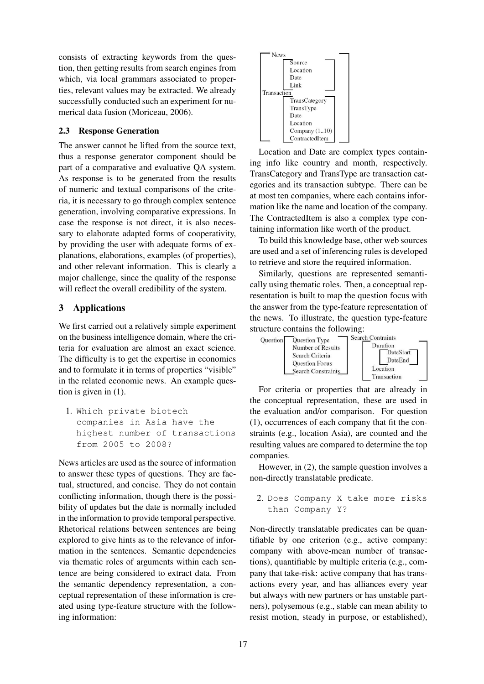consists of extracting keywords from the question, then getting results from search engines from which, via local grammars associated to properties, relevant values may be extracted. We already successfully conducted such an experiment for numerical data fusion (Moriceau, 2006).

### 2.3 Response Generation

The answer cannot be lifted from the source text, thus a response generator component should be part of a comparative and evaluative QA system. As response is to be generated from the results of numeric and textual comparisons of the criteria, it is necessary to go through complex sentence generation, involving comparative expressions. In case the response is not direct, it is also necessary to elaborate adapted forms of cooperativity, by providing the user with adequate forms of explanations, elaborations, examples (of properties), and other relevant information. This is clearly a major challenge, since the quality of the response will reflect the overall credibility of the system.

# 3 Applications

We first carried out a relatively simple experiment on the business intelligence domain, where the criteria for evaluation are almost an exact science. The difficulty is to get the expertise in economics and to formulate it in terms of properties "visible" in the related economic news. An example question is given in (1).

1. Which private biotech companies in Asia have the highest number of transactions from 2005 to 2008?

News articles are used as the source of information to answer these types of questions. They are factual, structured, and concise. They do not contain conflicting information, though there is the possibility of updates but the date is normally included in the information to provide temporal perspective. Rhetorical relations between sentences are being explored to give hints as to the relevance of information in the sentences. Semantic dependencies via thematic roles of arguments within each sentence are being considered to extract data. From the semantic dependency representation, a conceptual representation of these information is created using type-feature structure with the following information:



Location and Date are complex types containing info like country and month, respectively. TransCategory and TransType are transaction categories and its transaction subtype. There can be at most ten companies, where each contains information like the name and location of the company. The ContractedItem is also a complex type containing information like worth of the product.

To build this knowledge base, other web sources are used and a set of inferencing rules is developed to retrieve and store the required information.

Similarly, questions are represented semantically using thematic roles. Then, a conceptual representation is built to map the question focus with the answer from the type-feature representation of the news. To illustrate, the question type-feature structure contains the following:<br>  $\frac{1}{\sqrt{2\pi}} \sum_{n=1}^{\infty}$  Search Contraints



For criteria or properties that are already in the conceptual representation, these are used in the evaluation and/or comparison. For question (1), occurrences of each company that fit the constraints (e.g., location Asia), are counted and the resulting values are compared to determine the top companies.

However, in (2), the sample question involves a non-directly translatable predicate.

2. Does Company X take more risks than Company Y?

Non-directly translatable predicates can be quantifiable by one criterion (e.g., active company: company with above-mean number of transactions), quantifiable by multiple criteria (e.g., company that take-risk: active company that has transactions every year, and has alliances every year but always with new partners or has unstable partners), polysemous (e.g., stable can mean ability to resist motion, steady in purpose, or established),